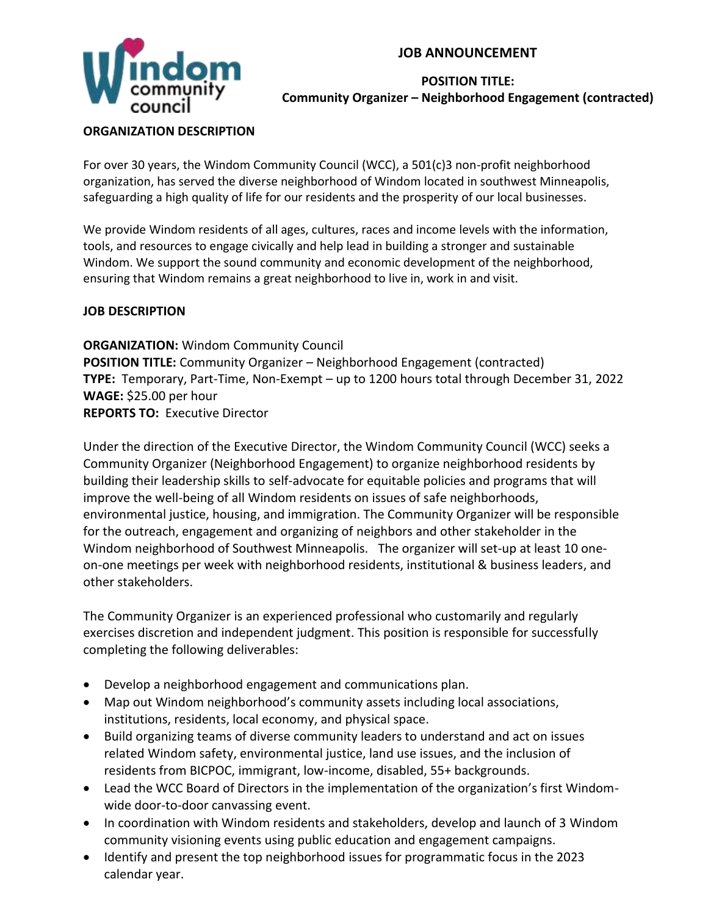# **JOB ANNOUNCEMENT**



## **POSITION TITLE: Community Organizer – Neighborhood Engagement (contracted)**

#### **ORGANIZATION DESCRIPTION**

For over 30 years, the Windom Community Council (WCC), a 501(c)3 non-profit neighborhood organization, has served the diverse neighborhood of Windom located in southwest Minneapolis, safeguarding a high quality of life for our residents and the prosperity of our local businesses.

We provide Windom residents of all ages, cultures, races and income levels with the information, tools, and resources to engage civically and help lead in building a stronger and sustainable Windom. We support the sound community and economic development of the neighborhood, ensuring that Windom remains a great neighborhood to live in, work in and visit.

## **JOB DESCRIPTION**

**ORGANIZATION:** Windom Community Council **POSITION TITLE:** Community Organizer – Neighborhood Engagement (contracted) **TYPE:** Temporary, Part-Time, Non-Exempt – up to 1200 hours total through December 31, 2022 **WAGE:** \$25.00 per hour **REPORTS TO:** Executive Director

Under the direction of the Executive Director, the Windom Community Council (WCC) seeks a Community Organizer (Neighborhood Engagement) to organize neighborhood residents by building their leadership skills to self-advocate for equitable policies and programs that will improve the well-being of all Windom residents on issues of safe neighborhoods, environmental justice, housing, and immigration. The Community Organizer will be responsible for the outreach, engagement and organizing of neighbors and other stakeholder in the Windom neighborhood of Southwest Minneapolis. The organizer will set-up at least 10 oneon-one meetings per week with neighborhood residents, institutional & business leaders, and other stakeholders.

The Community Organizer is an experienced professional who customarily and regularly exercises discretion and independent judgment. This position is responsible for successfully completing the following deliverables:

- Develop a neighborhood engagement and communications plan.
- Map out Windom neighborhood's community assets including local associations, institutions, residents, local economy, and physical space.
- Build organizing teams of diverse community leaders to understand and act on issues related Windom safety, environmental justice, land use issues, and the inclusion of residents from BICPOC, immigrant, low-income, disabled, 55+ backgrounds.
- Lead the WCC Board of Directors in the implementation of the organization's first Windomwide door-to-door canvassing event.
- In coordination with Windom residents and stakeholders, develop and launch of 3 Windom community visioning events using public education and engagement campaigns.
- Identify and present the top neighborhood issues for programmatic focus in the 2023 calendar year.